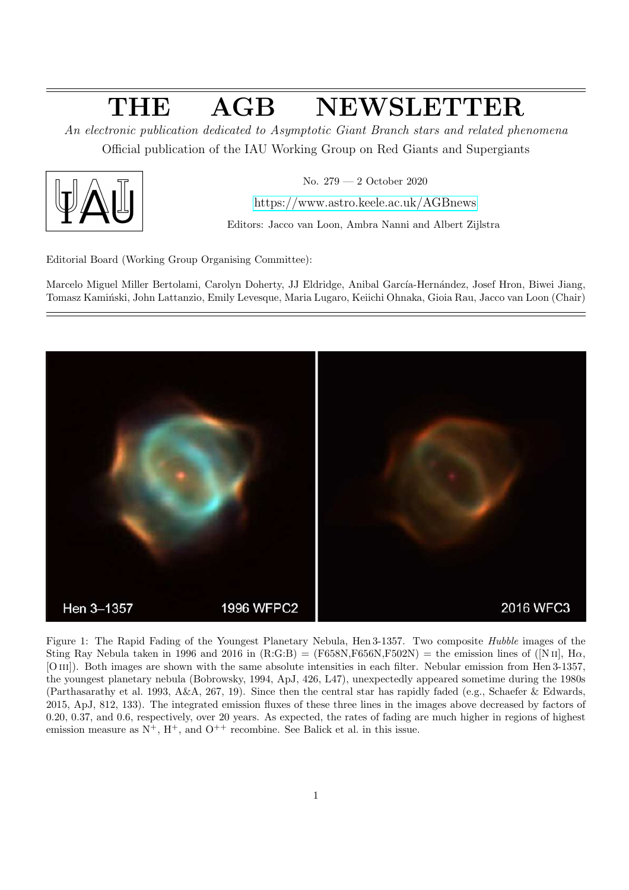# THE AGB NEWSLETTER

An electronic publication dedicated to Asymptotic Giant Branch stars and related phenomena Official publication of the IAU Working Group on Red Giants and Supergiants



No. 279 — 2 October 2020

<https://www.astro.keele.ac.uk/AGBnews>

Editors: Jacco van Loon, Ambra Nanni and Albert Zijlstra

Editorial Board (Working Group Organising Committee):

Marcelo Miguel Miller Bertolami, Carolyn Doherty, JJ Eldridge, Anibal García-Hernández, Josef Hron, Biwei Jiang, Tomasz Kamiński, John Lattanzio, Emily Levesque, Maria Lugaro, Keiichi Ohnaka, Gioia Rau, Jacco van Loon (Chair)



Figure 1: The Rapid Fading of the Youngest Planetary Nebula, Hen 3-1357. Two composite Hubble images of the Sting Ray Nebula taken in 1996 and 2016 in  $(R:G:B) = (F658N,F656N,F502N) =$  the emission lines of  $([N\,\textsc{ii}]\,$ ,  $H\alpha$ , [O III]). Both images are shown with the same absolute intensities in each filter. Nebular emission from Hen 3-1357, the youngest planetary nebula (Bobrowsky, 1994, ApJ, 426, L47), unexpectedly appeared sometime during the 1980s (Parthasarathy et al. 1993, A&A, 267, 19). Since then the central star has rapidly faded (e.g., Schaefer & Edwards, 2015, ApJ, 812, 133). The integrated emission fluxes of these three lines in the images above decreased by factors of 0.20, 0.37, and 0.6, respectively, over 20 years. As expected, the rates of fading are much higher in regions of highest emission measure as  $N^+$ ,  $H^+$ , and  $O^{++}$  recombine. See Balick et al. in this issue.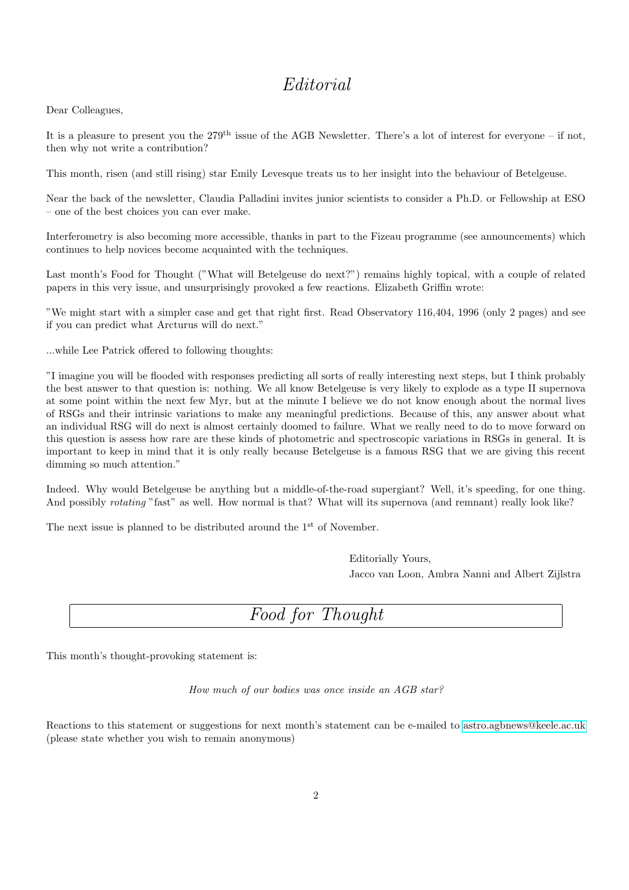## Editorial

Dear Colleagues,

It is a pleasure to present you the  $279<sup>th</sup>$  issue of the AGB Newsletter. There's a lot of interest for everyone – if not, then why not write a contribution?

This month, risen (and still rising) star Emily Levesque treats us to her insight into the behaviour of Betelgeuse.

Near the back of the newsletter, Claudia Palladini invites junior scientists to consider a Ph.D. or Fellowship at ESO – one of the best choices you can ever make.

Interferometry is also becoming more accessible, thanks in part to the Fizeau programme (see announcements) which continues to help novices become acquainted with the techniques.

Last month's Food for Thought ("What will Betelgeuse do next?") remains highly topical, with a couple of related papers in this very issue, and unsurprisingly provoked a few reactions. Elizabeth Griffin wrote:

"We might start with a simpler case and get that right first. Read Observatory 116,404, 1996 (only 2 pages) and see if you can predict what Arcturus will do next."

...while Lee Patrick offered to following thoughts:

"I imagine you will be flooded with responses predicting all sorts of really interesting next steps, but I think probably the best answer to that question is: nothing. We all know Betelgeuse is very likely to explode as a type II supernova at some point within the next few Myr, but at the minute I believe we do not know enough about the normal lives of RSGs and their intrinsic variations to make any meaningful predictions. Because of this, any answer about what an individual RSG will do next is almost certainly doomed to failure. What we really need to do to move forward on this question is assess how rare are these kinds of photometric and spectroscopic variations in RSGs in general. It is important to keep in mind that it is only really because Betelgeuse is a famous RSG that we are giving this recent dimming so much attention."

Indeed. Why would Betelgeuse be anything but a middle-of-the-road supergiant? Well, it's speeding, for one thing. And possibly *rotating* "fast" as well. How normal is that? What will its supernova (and remnant) really look like?

The next issue is planned to be distributed around the  $1<sup>st</sup>$  of November.

Editorially Yours, Jacco van Loon, Ambra Nanni and Albert Zijlstra

## Food for Thought

This month's thought-provoking statement is:

How much of our bodies was once inside an AGB star?

Reactions to this statement or suggestions for next month's statement can be e-mailed to [astro.agbnews@keele.ac.uk](mailto:astro.agbnews@keele.ac.uk) (please state whether you wish to remain anonymous)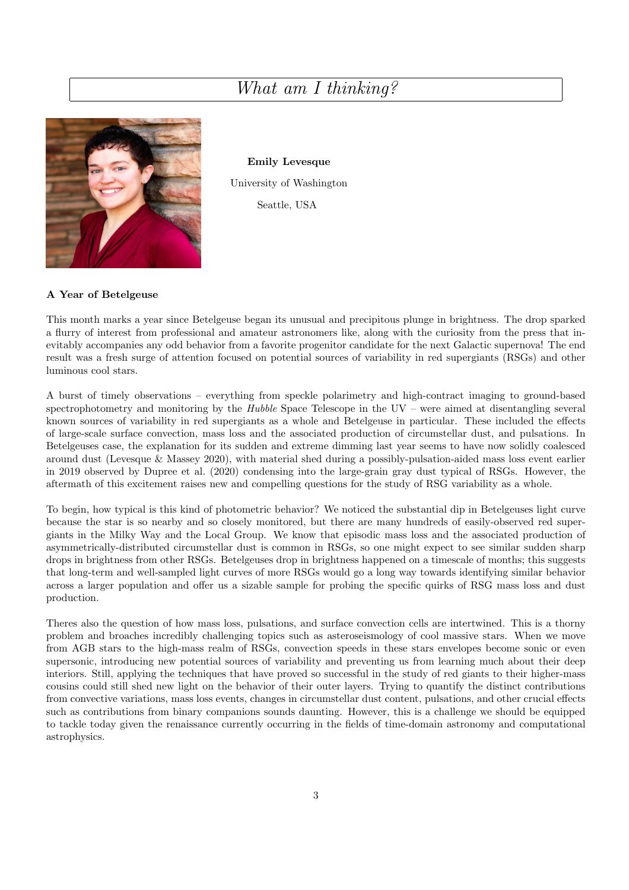## What am I thinking?



Emily Levesque University of Washington Seattle, USA

#### A Year of Betelgeuse

This month marks a year since Betelgeuse began its unusual and precipitous plunge in brightness. The drop sparked a flurry of interest from professional and amateur astronomers like, along with the curiosity from the press that inevitably accompanies any odd behavior from a favorite progenitor candidate for the next Galactic supernova! The end result was a fresh surge of attention focused on potential sources of variability in red supergiants (RSGs) and other luminous cool stars.

A burst of timely observations – everything from speckle polarimetry and high-contract imaging to ground-based spectrophotometry and monitoring by the Hubble Space Telescope in the UV – were aimed at disentangling several known sources of variability in red supergiants as a whole and Betelgeuse in particular. These included the effects of large-scale surface convection, mass loss and the associated production of circumstellar dust, and pulsations. In Betelgeuses case, the explanation for its sudden and extreme dimming last year seems to have now solidly coalesced around dust (Levesque & Massey 2020), with material shed during a possibly-pulsation-aided mass loss event earlier in 2019 observed by Dupree et al. (2020) condensing into the large-grain gray dust typical of RSGs. However, the aftermath of this excitement raises new and compelling questions for the study of RSG variability as a whole.

To begin, how typical is this kind of photometric behavior? We noticed the substantial dip in Betelgeuses light curve because the star is so nearby and so closely monitored, but there are many hundreds of easily-observed red supergiants in the Milky Way and the Local Group. We know that episodic mass loss and the associated production of asymmetrically-distributed circumstellar dust is common in RSGs, so one might expect to see similar sudden sharp drops in brightness from other RSGs. Betelgeuses drop in brightness happened on a timescale of months; this suggests that long-term and well-sampled light curves of more RSGs would go a long way towards identifying similar behavior across a larger population and offer us a sizable sample for probing the specific quirks of RSG mass loss and dust production.

Theres also the question of how mass loss, pulsations, and surface convection cells are intertwined. This is a thorny problem and broaches incredibly challenging topics such as asteroseismology of cool massive stars. When we move from AGB stars to the high-mass realm of RSGs, convection speeds in these stars envelopes become sonic or even supersonic, introducing new potential sources of variability and preventing us from learning much about their deep interiors. Still, applying the techniques that have proved so successful in the study of red giants to their higher-mass cousins could still shed new light on the behavior of their outer layers. Trying to quantify the distinct contributions from convective variations, mass loss events, changes in circumstellar dust content, pulsations, and other crucial effects such as contributions from binary companions sounds daunting. However, this is a challenge we should be equipped to tackle today given the renaissance currently occurring in the fields of time-domain astronomy and computational astrophysics.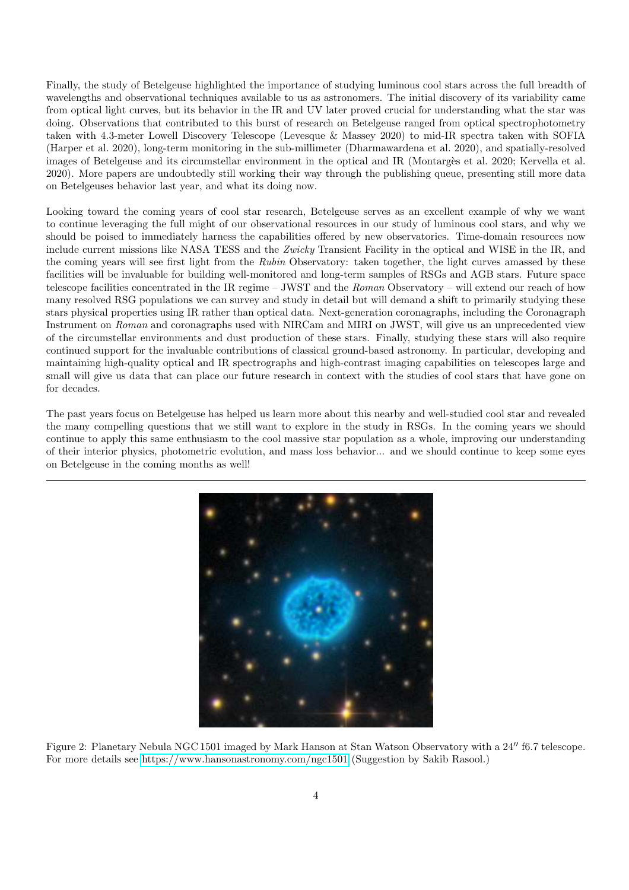Finally, the study of Betelgeuse highlighted the importance of studying luminous cool stars across the full breadth of wavelengths and observational techniques available to us as astronomers. The initial discovery of its variability came from optical light curves, but its behavior in the IR and UV later proved crucial for understanding what the star was doing. Observations that contributed to this burst of research on Betelgeuse ranged from optical spectrophotometry taken with 4.3-meter Lowell Discovery Telescope (Levesque & Massey 2020) to mid-IR spectra taken with SOFIA (Harper et al. 2020), long-term monitoring in the sub-millimeter (Dharmawardena et al. 2020), and spatially-resolved images of Betelgeuse and its circumstellar environment in the optical and IR (Montargès et al. 2020; Kervella et al. 2020). More papers are undoubtedly still working their way through the publishing queue, presenting still more data on Betelgeuses behavior last year, and what its doing now.

Looking toward the coming years of cool star research, Betelgeuse serves as an excellent example of why we want to continue leveraging the full might of our observational resources in our study of luminous cool stars, and why we should be poised to immediately harness the capabilities offered by new observatories. Time-domain resources now include current missions like NASA TESS and the Zwicky Transient Facility in the optical and WISE in the IR, and the coming years will see first light from the Rubin Observatory: taken together, the light curves amassed by these facilities will be invaluable for building well-monitored and long-term samples of RSGs and AGB stars. Future space telescope facilities concentrated in the IR regime – JWST and the Roman Observatory – will extend our reach of how many resolved RSG populations we can survey and study in detail but will demand a shift to primarily studying these stars physical properties using IR rather than optical data. Next-generation coronagraphs, including the Coronagraph Instrument on Roman and coronagraphs used with NIRCam and MIRI on JWST, will give us an unprecedented view of the circumstellar environments and dust production of these stars. Finally, studying these stars will also require continued support for the invaluable contributions of classical ground-based astronomy. In particular, developing and maintaining high-quality optical and IR spectrographs and high-contrast imaging capabilities on telescopes large and small will give us data that can place our future research in context with the studies of cool stars that have gone on for decades.

The past years focus on Betelgeuse has helped us learn more about this nearby and well-studied cool star and revealed the many compelling questions that we still want to explore in the study in RSGs. In the coming years we should continue to apply this same enthusiasm to the cool massive star population as a whole, improving our understanding of their interior physics, photometric evolution, and mass loss behavior... and we should continue to keep some eyes on Betelgeuse in the coming months as well!



Figure 2: Planetary Nebula NGC 1501 imaged by Mark Hanson at Stan Watson Observatory with a 24′′ f6.7 telescope. For more details see<https://www.hansonastronomy.com/ngc1501> (Suggestion by Sakib Rasool.)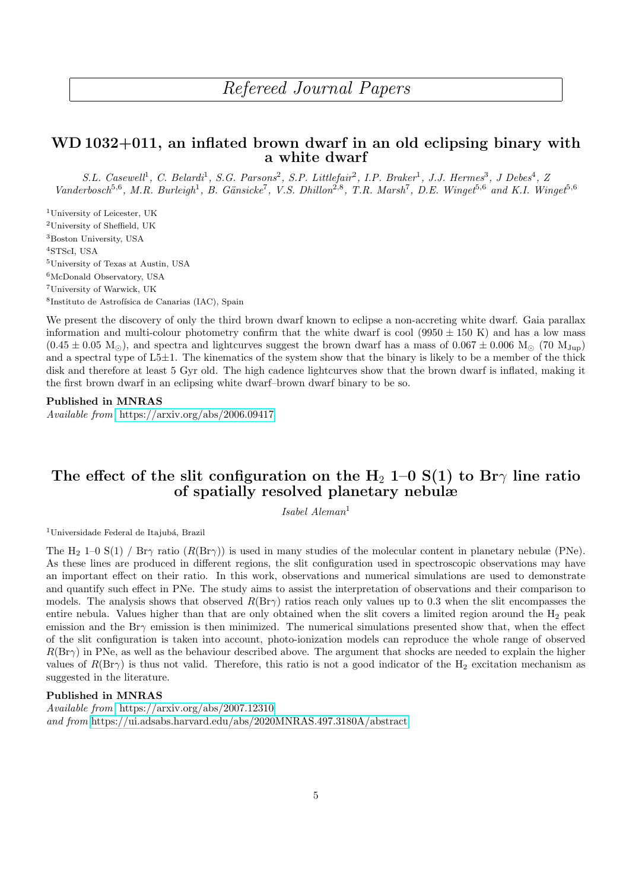## Refereed Journal Papers

### WD 1032+011, an inflated brown dwarf in an old eclipsing binary with a white dwarf

S.L. Casewell<sup>1</sup>, C. Belardi<sup>1</sup>, S.G. Parsons<sup>2</sup>, S.P. Littlefair<sup>2</sup>, I.P. Braker<sup>1</sup>, J.J. Hermes<sup>3</sup>, J Debes<sup>4</sup>, Z Vanderbosch<sup>5,6</sup>, M.R. Burleigh<sup>1</sup>, B. Gänsicke<sup>7</sup>, V.S. Dhillon<sup>2,8</sup>, T.R. Marsh<sup>7</sup>, D.E. Winget<sup>5,6</sup> and K.I. Winget<sup>5,6</sup>

University of Leicester, UK University of Sheffield, UK Boston University, USA STScI, USA University of Texas at Austin, USA McDonald Observatory, USA University of Warwick, UK <sup>8</sup>Instituto de Astrofísica de Canarias (IAC), Spain

We present the discovery of only the third brown dwarf known to eclipse a non-accreting white dwarf. Gaia parallax information and multi-colour photometry confirm that the white dwarf is cool (9950  $\pm$  150 K) and has a low mass  $(0.45 \pm 0.05 \text{ M}_{\odot})$ , and spectra and lightcurves suggest the brown dwarf has a mass of  $0.067 \pm 0.006 \text{ M}_{\odot}$  (70  $\text{M}_{\text{Jup}}$ ) and a spectral type of L5±1. The kinematics of the system show that the binary is likely to be a member of the thick disk and therefore at least 5 Gyr old. The high cadence lightcurves show that the brown dwarf is inflated, making it the first brown dwarf in an eclipsing white dwarf–brown dwarf binary to be so.

#### Published in MNRAS

Available from <https://arxiv.org/abs/2006.09417>

### The effect of the slit configuration on the H<sub>2</sub> 1–0 S(1) to Br $\gamma$  line ratio of spatially resolved planetary nebulæ

 $Isabel \ Aleman<sup>1</sup>$ 

 $1$ Universidade Federal de Itajubá, Brazil

The H<sub>2</sub> 1–0 S(1) / Br $\gamma$  ratio (R(Br $\gamma$ )) is used in many studies of the molecular content in planetary nebulæ (PNe). As these lines are produced in different regions, the slit configuration used in spectroscopic observations may have an important effect on their ratio. In this work, observations and numerical simulations are used to demonstrate and quantify such effect in PNe. The study aims to assist the interpretation of observations and their comparison to models. The analysis shows that observed  $R(Br\gamma)$  ratios reach only values up to 0.3 when the slit encompasses the entire nebula. Values higher than that are only obtained when the slit covers a limited region around the  $H_2$  peak emission and the Br $\gamma$  emission is then minimized. The numerical simulations presented show that, when the effect of the slit configuration is taken into account, photo-ionization models can reproduce the whole range of observed  $R(Br\gamma)$  in PNe, as well as the behaviour described above. The argument that shocks are needed to explain the higher values of  $R(Br\gamma)$  is thus not valid. Therefore, this ratio is not a good indicator of the H<sub>2</sub> excitation mechanism as suggested in the literature.

#### Published in MNRAS

Available from <https://arxiv.org/abs/2007.12310> and from <https://ui.adsabs.harvard.edu/abs/2020MNRAS.497.3180A/abstract>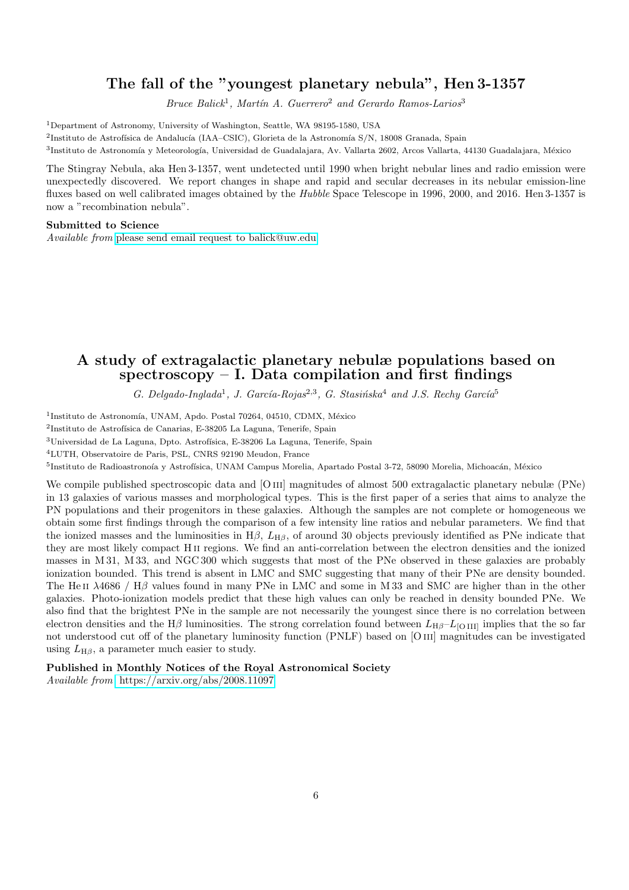### The fall of the "youngest planetary nebula", Hen 3-1357

Bruce Balick<sup>1</sup>, Martín A. Guerrero<sup>2</sup> and Gerardo Ramos-Larios<sup>3</sup>

<sup>1</sup>Department of Astronomy, University of Washington, Seattle, WA 98195-1580, USA

<sup>2</sup>Instituto de Astrofísica de Andalucía (IAA–CSIC), Glorieta de la Astronomía S/N, 18008 Granada, Spain

<sup>3</sup>Instituto de Astronomía y Meteorología, Universidad de Guadalajara, Av. Vallarta 2602, Arcos Vallarta, 44130 Guadalajara, México

The Stingray Nebula, aka Hen 3-1357, went undetected until 1990 when bright nebular lines and radio emission were unexpectedly discovered. We report changes in shape and rapid and secular decreases in its nebular emission-line fluxes based on well calibrated images obtained by the Hubble Space Telescope in 1996, 2000, and 2016. Hen 3-1357 is now a "recombination nebula".

#### Submitted to Science

Available from <please send email request to balick@uw.edu>

### A study of extragalactic planetary nebulæ populations based on spectroscopy  $-$  I. Data compilation and first findings

G. Delgado-Inglada<sup>1</sup>, J. García-Rojas<sup>2,3</sup>, G. Stasińska<sup>4</sup> and J.S. Rechy García<sup>5</sup>

<sup>1</sup>Instituto de Astronomía, UNAM, Apdo. Postal 70264, 04510, CDMX, México

<sup>2</sup>Instituto de Astrofísica de Canarias, E-38205 La Laguna, Tenerife, Spain

 $3$ Universidad de La Laguna, Dpto. Astrofísica, E-38206 La Laguna, Tenerife, Spain

<sup>4</sup>LUTH, Observatoire de Paris, PSL, CNRS 92190 Meudon, France

<sup>5</sup>Instituto de Radioastronoía y Astrofísica, UNAM Campus Morelia, Apartado Postal 3-72, 58090 Morelia, Michoacán, México

We compile published spectroscopic data and [O III] magnitudes of almost 500 extragalactic planetary nebulæ (PNe) in 13 galaxies of various masses and morphological types. This is the first paper of a series that aims to analyze the PN populations and their progenitors in these galaxies. Although the samples are not complete or homogeneous we obtain some first findings through the comparison of a few intensity line ratios and nebular parameters. We find that the ionized masses and the luminosities in  $H\beta$ ,  $L_{H\beta}$ , of around 30 objects previously identified as PNe indicate that they are most likely compact H ii regions. We find an anti-correlation between the electron densities and the ionized masses in M 31, M 33, and NGC 300 which suggests that most of the PNe observed in these galaxies are probably ionization bounded. This trend is absent in LMC and SMC suggesting that many of their PNe are density bounded. The He II  $\lambda$ 4686 / H $\beta$  values found in many PNe in LMC and some in M 33 and SMC are higher than in the other galaxies. Photo-ionization models predict that these high values can only be reached in density bounded PNe. We also find that the brightest PNe in the sample are not necessarily the youngest since there is no correlation between electron densities and the H $\beta$  luminosities. The strong correlation found between  $L_{H\beta}-L_{\rm [O\,III]}$  implies that the so far not understood cut off of the planetary luminosity function (PNLF) based on [O iii] magnitudes can be investigated using  $L_{\text{H}\beta}$ , a parameter much easier to study.

#### Published in Monthly Notices of the Royal Astronomical Society

Available from <https://arxiv.org/abs/2008.11097>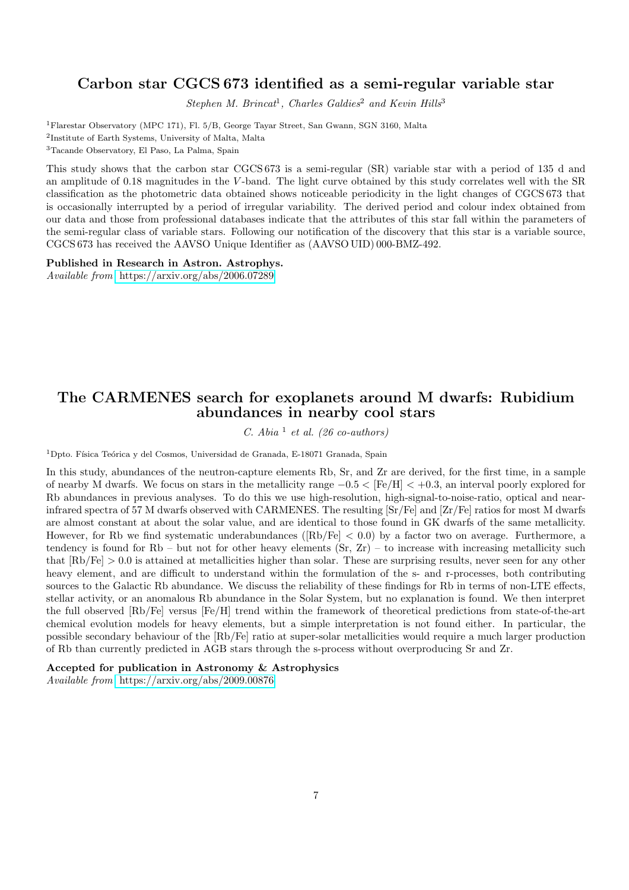### Carbon star CGCS 673 identified as a semi-regular variable star

Stephen M. Brincat<sup>1</sup>, Charles Galdies<sup>2</sup> and Kevin Hills<sup>3</sup>

<sup>1</sup>Flarestar Observatory (MPC 171), Fl. 5/B, George Tayar Street, San Gwann, SGN 3160, Malta 2 Institute of Earth Systems, University of Malta, Malta <sup>3</sup>Tacande Observatory, El Paso, La Palma, Spain

This study shows that the carbon star CGCS 673 is a semi-regular (SR) variable star with a period of 135 d and an amplitude of 0.18 magnitudes in the V -band. The light curve obtained by this study correlates well with the SR classification as the photometric data obtained shows noticeable periodicity in the light changes of CGCS 673 that is occasionally interrupted by a period of irregular variability. The derived period and colour index obtained from our data and those from professional databases indicate that the attributes of this star fall within the parameters of the semi-regular class of variable stars. Following our notification of the discovery that this star is a variable source, CGCS 673 has received the AAVSO Unique Identifier as (AAVSO UID) 000-BMZ-492.

Published in Research in Astron. Astrophys.

Available from <https://arxiv.org/abs/2006.07289>

### The CARMENES search for exoplanets around M dwarfs: Rubidium abundances in nearby cool stars

C. Abia  $\frac{1}{e}$  et al. (26 co-authors)

<sup>1</sup>Dpto. Física Teórica y del Cosmos, Universidad de Granada, E-18071 Granada, Spain

In this study, abundances of the neutron-capture elements Rb, Sr, and Zr are derived, for the first time, in a sample of nearby M dwarfs. We focus on stars in the metallicity range −0.5 < [Fe/H] < +0.3, an interval poorly explored for Rb abundances in previous analyses. To do this we use high-resolution, high-signal-to-noise-ratio, optical and nearinfrared spectra of 57 M dwarfs observed with CARMENES. The resulting [Sr/Fe] and [Zr/Fe] ratios for most M dwarfs are almost constant at about the solar value, and are identical to those found in GK dwarfs of the same metallicity. However, for Rb we find systematic underabundances ([Rb/Fe] < 0.0) by a factor two on average. Furthermore, a tendency is found for  $Rb$  – but not for other heavy elements  $(Sr, Zr)$  – to increase with increasing metallicity such that  $[Rb/Fe] > 0.0$  is attained at metallicities higher than solar. These are surprising results, never seen for any other heavy element, and are difficult to understand within the formulation of the s- and r-processes, both contributing sources to the Galactic Rb abundance. We discuss the reliability of these findings for Rb in terms of non-LTE effects, stellar activity, or an anomalous Rb abundance in the Solar System, but no explanation is found. We then interpret the full observed [Rb/Fe] versus [Fe/H] trend within the framework of theoretical predictions from state-of-the-art chemical evolution models for heavy elements, but a simple interpretation is not found either. In particular, the possible secondary behaviour of the [Rb/Fe] ratio at super-solar metallicities would require a much larger production of Rb than currently predicted in AGB stars through the s-process without overproducing Sr and Zr.

Accepted for publication in Astronomy & Astrophysics

Available from <https://arxiv.org/abs/2009.00876>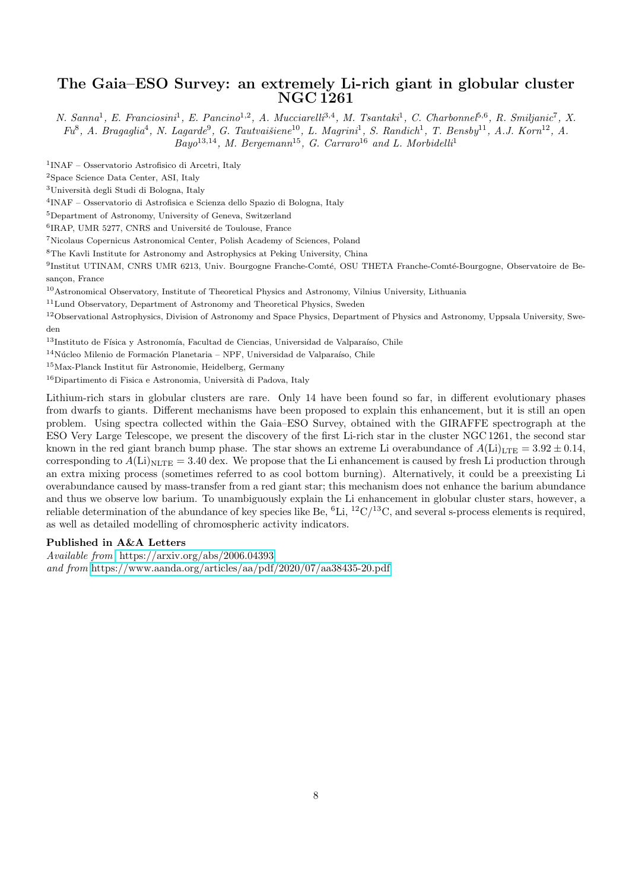#### The Gaia–ESO Survey: an extremely Li-rich giant in globular cluster NGC 1261

N. Sanna<sup>1</sup>, E. Franciosini<sup>1</sup>, E. Pancino<sup>1,2</sup>, A. Mucciarelli<sup>3,4</sup>, M. Tsantaki<sup>1</sup>, C. Charbonnel<sup>5,6</sup>, R. Smiljanic<sup>7</sup>, X.  $Fu^8$ , A. Bragaglia<sup>4</sup>, N. Lagarde<sup>9</sup>, G. Tautvaišiene<sup>10</sup>, L. Magrini<sup>1</sup>, S. Randich<sup>1</sup>, T. Bensby<sup>11</sup>, A.J. Korn<sup>12</sup>, A.  $Bayo<sup>13,14</sup>$ , M. Bergemann<sup>15</sup>, G. Carraro<sup>16</sup> and L. Morbidelli<sup>1</sup>

1 INAF – Osservatorio Astrofisico di Arcetri, Italy

<sup>2</sup>Space Science Data Center, ASI, Italy

<sup>3</sup>Università degli Studi di Bologna, Italy

4 INAF – Osservatorio di Astrofisica e Scienza dello Spazio di Bologna, Italy

<sup>5</sup>Department of Astronomy, University of Geneva, Switzerland

 ${}^{6}$ IRAP, UMR 5277, CNRS and Université de Toulouse, France

<sup>7</sup>Nicolaus Copernicus Astronomical Center, Polish Academy of Sciences, Poland

 ${}^{8}{\rm The}$  Kavli Institute for Astronomy and Astrophysics at Peking University, China

<sup>9</sup>Institut UTINAM, CNRS UMR 6213, Univ. Bourgogne Franche-Comté, OSU THETA Franche-Comté-Bourgogne, Observatoire de Besancon, France

<sup>10</sup>Astronomical Observatory, Institute of Theoretical Physics and Astronomy, Vilnius University, Lithuania

<sup>11</sup>Lund Observatory, Department of Astronomy and Theoretical Physics, Sweden

<sup>12</sup>Observational Astrophysics, Division of Astronomy and Space Physics, Department of Physics and Astronomy, Uppsala University, Sweden

 $13$ Instituto de Física y Astronomía, Facultad de Ciencias, Universidad de Valparaíso, Chile

 $^{14}{\rm Núcleo}$  Milenio de Formación Planetaria – NPF, Universidad de Valparaíso, Chile

 $^{15}\rm{Max}$ -Planck Institut für Astronomie, Heidelberg, Germany

 $16$ Dipartimento di Fisica e Astronomia, Università di Padova, Italy

Lithium-rich stars in globular clusters are rare. Only 14 have been found so far, in different evolutionary phases from dwarfs to giants. Different mechanisms have been proposed to explain this enhancement, but it is still an open problem. Using spectra collected within the Gaia–ESO Survey, obtained with the GIRAFFE spectrograph at the ESO Very Large Telescope, we present the discovery of the first Li-rich star in the cluster NGC 1261, the second star known in the red giant branch bump phase. The star shows an extreme Li overabundance of  $A(Li)_{\text{LTE}} = 3.92 \pm 0.14$ , corresponding to  $A(Li)_{\text{NLTE}} = 3.40$  dex. We propose that the Li enhancement is caused by fresh Li production through an extra mixing process (sometimes referred to as cool bottom burning). Alternatively, it could be a preexisting Li overabundance caused by mass-transfer from a red giant star; this mechanism does not enhance the barium abundance and thus we observe low barium. To unambiguously explain the Li enhancement in globular cluster stars, however, a reliable determination of the abundance of key species like Be,  ${}^{6}$ Li,  ${}^{12}C/{}^{13}C$ , and several s-process elements is required, as well as detailed modelling of chromospheric activity indicators.

#### Published in A&A Letters

Available from <https://arxiv.org/abs/2006.04393> and from <https://www.aanda.org/articles/aa/pdf/2020/07/aa38435-20.pdf>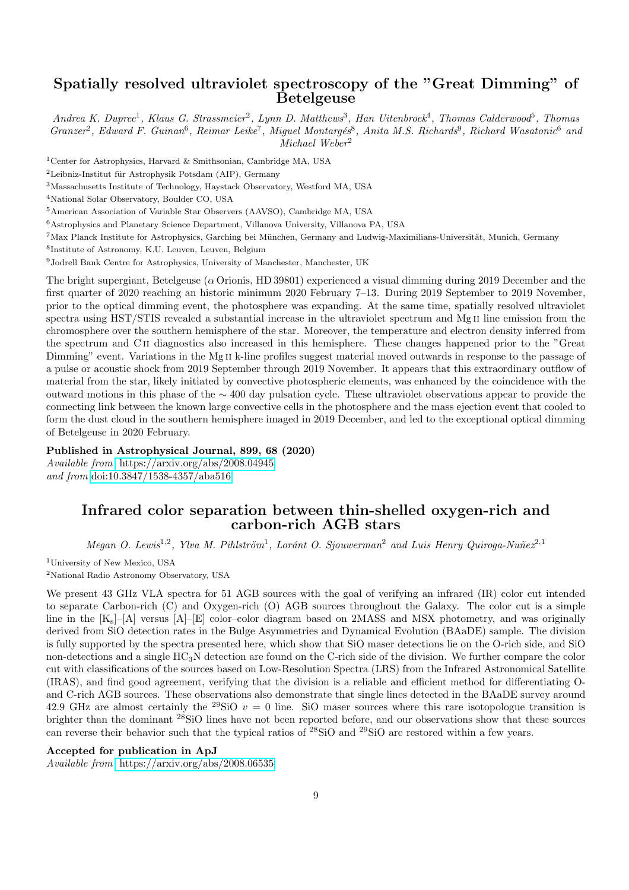### Spatially resolved ultraviolet spectroscopy of the "Great Dimming" of **Betelgeuse**

Andrea K. Dupree<sup>1</sup>, Klaus G. Strassmeier<sup>2</sup>, Lynn D. Matthews<sup>3</sup>, Han Uitenbroek<sup>4</sup>, Thomas Calderwood<sup>5</sup>, Thomas Granzer<sup>2</sup>, Edward F. Guinan<sup>6</sup>, Reimar Leike<sup>7</sup>, Miguel Montargés<sup>8</sup>, Anita M.S. Richards<sup>9</sup>, Richard Wasatonic<sup>6</sup> and Michael Weber<sup>2</sup>

<sup>1</sup>Center for Astrophysics, Harvard & Smithsonian, Cambridge MA, USA

 ${}^{2}$ Leibniz-Institut für Astrophysik Potsdam (AIP), Germany

<sup>3</sup>Massachusetts Institute of Technology, Haystack Observatory, Westford MA, USA

<sup>4</sup>National Solar Observatory, Boulder CO, USA

<sup>5</sup>American Association of Variable Star Observers (AAVSO), Cambridge MA, USA

 $^6$  Astrophysics and Planetary Science Department, Villanova University, Villanova PA, USA

<sup>7</sup>Max Planck Institute for Astrophysics, Garching bei München, Germany and Ludwig-Maximilians-Universität, Munich, Germany

8 Institute of Astronomy, K.U. Leuven, Leuven, Belgium

<sup>9</sup>Jodrell Bank Centre for Astrophysics, University of Manchester, Manchester, UK

The bright supergiant, Betelgeuse ( $\alpha$  Orionis, HD 39801) experienced a visual dimming during 2019 December and the first quarter of 2020 reaching an historic minimum 2020 February 7–13. During 2019 September to 2019 November, prior to the optical dimming event, the photosphere was expanding. At the same time, spatially resolved ultraviolet spectra using HST/STIS revealed a substantial increase in the ultraviolet spectrum and Mg II line emission from the chromosphere over the southern hemisphere of the star. Moreover, the temperature and electron density inferred from the spectrum and C ii diagnostics also increased in this hemisphere. These changes happened prior to the "Great Dimming" event. Variations in the Mg II k-line profiles suggest material moved outwards in response to the passage of a pulse or acoustic shock from 2019 September through 2019 November. It appears that this extraordinary outflow of material from the star, likely initiated by convective photospheric elements, was enhanced by the coincidence with the outward motions in this phase of the ∼ 400 day pulsation cycle. These ultraviolet observations appear to provide the connecting link between the known large convective cells in the photosphere and the mass ejection event that cooled to form the dust cloud in the southern hemisphere imaged in 2019 December, and led to the exceptional optical dimming of Betelgeuse in 2020 February.

#### Published in Astrophysical Journal, 899, 68 (2020)

Available from <https://arxiv.org/abs/2008.04945> and from <doi:10.3847/1538-4357/aba516>

### Infrared color separation between thin-shelled oxygen-rich and carbon-rich AGB stars

Megan O. Lewis<sup>1,2</sup>, Ylva M. Pihlström<sup>1</sup>, Loránt O. Sjouwerman<sup>2</sup> and Luis Henry Quiroga-Nuñez<sup>2,1</sup>

<sup>1</sup>University of New Mexico, USA

<sup>2</sup>National Radio Astronomy Observatory, USA

We present 43 GHz VLA spectra for 51 AGB sources with the goal of verifying an infrared (IR) color cut intended to separate Carbon-rich (C) and Oxygen-rich (O) AGB sources throughout the Galaxy. The color cut is a simple line in the  $[K_s]-[A]$  versus  $[A]-[E]$  color–color diagram based on 2MASS and MSX photometry, and was originally derived from SiO detection rates in the Bulge Asymmetries and Dynamical Evolution (BAaDE) sample. The division is fully supported by the spectra presented here, which show that SiO maser detections lie on the O-rich side, and SiO non-detections and a single HC3N detection are found on the C-rich side of the division. We further compare the color cut with classifications of the sources based on Low-Resolution Spectra (LRS) from the Infrared Astronomical Satellite (IRAS), and find good agreement, verifying that the division is a reliable and efficient method for differentiating Oand C-rich AGB sources. These observations also demonstrate that single lines detected in the BAaDE survey around 42.9 GHz are almost certainly the <sup>29</sup>SiO  $v = 0$  line. SiO maser sources where this rare isotopologue transition is brighter than the dominant <sup>28</sup>SiO lines have not been reported before, and our observations show that these sources can reverse their behavior such that the typical ratios of <sup>28</sup>SiO and <sup>29</sup>SiO are restored within a few years.

#### Accepted for publication in ApJ

Available from <https://arxiv.org/abs/2008.06535>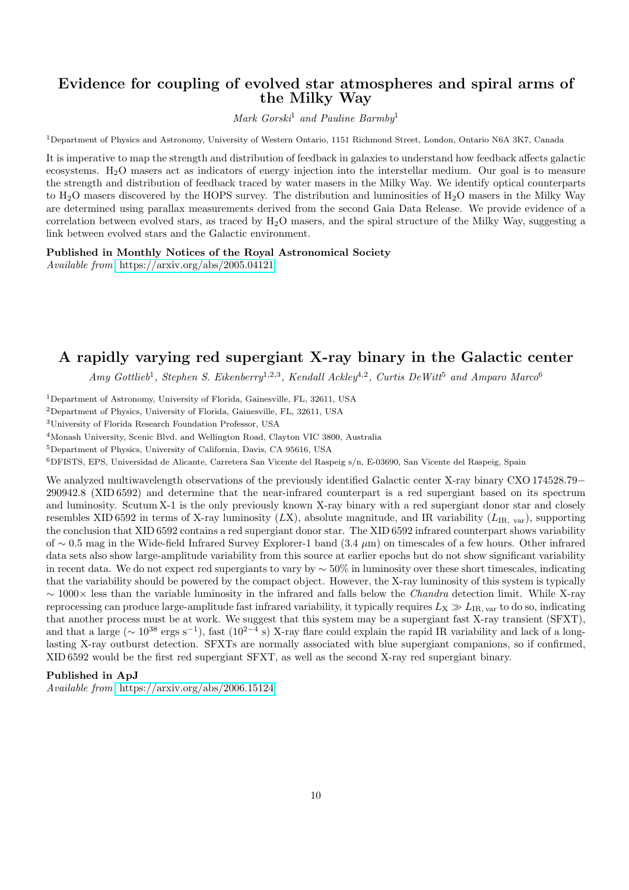#### Evidence for coupling of evolved star atmospheres and spiral arms of the Milky Way

Mark Gorski<sup>1</sup> and Pauline Barmby<sup>1</sup>

<sup>1</sup>Department of Physics and Astronomy, University of Western Ontario, 1151 Richmond Street, London, Ontario N6A 3K7, Canada

It is imperative to map the strength and distribution of feedback in galaxies to understand how feedback affects galactic ecosystems. H2O masers act as indicators of energy injection into the interstellar medium. Our goal is to measure the strength and distribution of feedback traced by water masers in the Milky Way. We identify optical counterparts to  $H<sub>2</sub>O$  masers discovered by the HOPS survey. The distribution and luminosities of  $H<sub>2</sub>O$  masers in the Milky Way are determined using parallax measurements derived from the second Gaia Data Release. We provide evidence of a correlation between evolved stars, as traced by  $H_2O$  masers, and the spiral structure of the Milky Way, suggesting a link between evolved stars and the Galactic environment.

#### Published in Monthly Notices of the Royal Astronomical Society

Available from <https://arxiv.org/abs/2005.04121>

### A rapidly varying red supergiant X-ray binary in the Galactic center

 $Amy\ Gottlieb<sup>1</sup>, Stephen S. Eikenberry<sup>1,2,3</sup>, Kendall Ackley<sup>4,2</sup>, Curtis De Witt<sup>5</sup> and Amparo Marco<sup>6</sup>$ 

<sup>1</sup>Department of Astronomy, University of Florida, Gainesville, FL, 32611, USA

<sup>2</sup>Department of Physics, University of Florida, Gainesville, FL, 32611, USA

<sup>3</sup>University of Florida Research Foundation Professor, USA

<sup>4</sup>Monash University, Scenic Blvd. and Wellington Road, Clayton VIC 3800, Australia

<sup>5</sup>Department of Physics, University of California, Davis, CA 95616, USA

<sup>6</sup>DFISTS, EPS, Universidad de Alicante, Carretera San Vicente del Raspeig s/n, E-03690, San Vicente del Raspeig, Spain

We analyzed multiwavelength observations of the previously identified Galactic center X-ray binary CXO 174528.79− 290942.8 (XID 6592) and determine that the near-infrared counterpart is a red supergiant based on its spectrum and luminosity. Scutum X-1 is the only previously known X-ray binary with a red supergiant donor star and closely resembles XID 6592 in terms of X-ray luminosity  $(LX)$ , absolute magnitude, and IR variability  $(L_{IR, var})$ , supporting the conclusion that XID 6592 contains a red supergiant donor star. The XID 6592 infrared counterpart shows variability of ∼ 0.5 mag in the Wide-field Infrared Survey Explorer-1 band (3.4 µm) on timescales of a few hours. Other infrared data sets also show large-amplitude variability from this source at earlier epochs but do not show significant variability in recent data. We do not expect red supergiants to vary by  $\sim$  50% in luminosity over these short timescales, indicating that the variability should be powered by the compact object. However, the X-ray luminosity of this system is typically ∼ 1000× less than the variable luminosity in the infrared and falls below the Chandra detection limit. While X-ray reprocessing can produce large-amplitude fast infrared variability, it typically requires  $L_X \gg L_{IR, \text{ var}}$  to do so, indicating that another process must be at work. We suggest that this system may be a supergiant fast X-ray transient (SFXT), and that a large ( $\sim 10^{38}$  ergs s<sup>-1</sup>), fast (10<sup>2-4</sup> s) X-ray flare could explain the rapid IR variability and lack of a longlasting X-ray outburst detection. SFXTs are normally associated with blue supergiant companions, so if confirmed, XID 6592 would be the first red supergiant SFXT, as well as the second X-ray red supergiant binary.

#### Published in ApJ

Available from <https://arxiv.org/abs/2006.15124>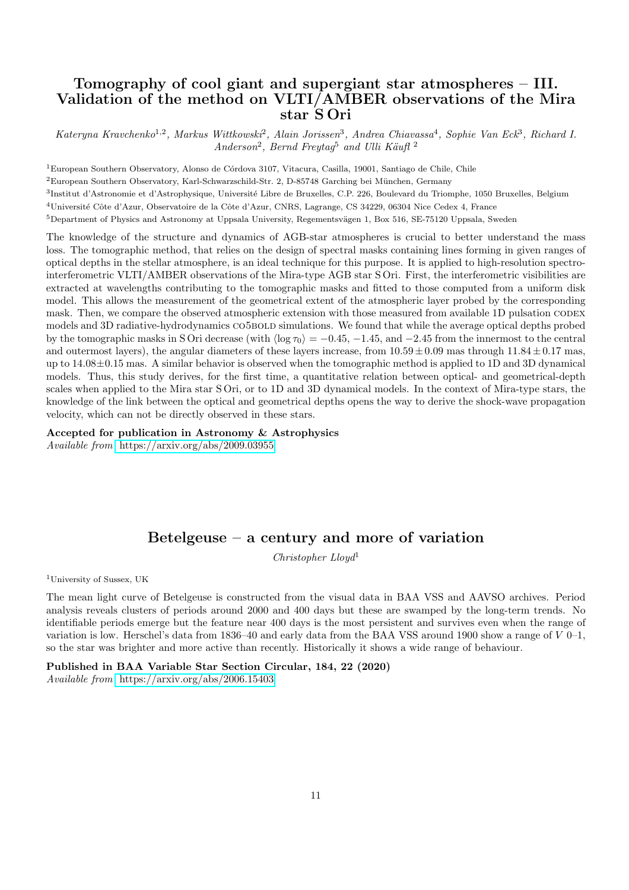### Tomography of cool giant and supergiant star atmospheres – III. Validation of the method on VLTI/AMBER observations of the Mira star S Ori

Kateryna Kravchenko<sup>1,2</sup>, Markus Wittkowski<sup>2</sup>, Alain Jorissen<sup>3</sup>, Andrea Chiavassa<sup>4</sup>, Sophie Van Eck<sup>3</sup>, Richard I.  $Anderson<sup>2</sup>, Bernd Freytag<sup>5</sup> and Ulli Käuff<sup>2</sup>$ 

<sup>1</sup>European Southern Observatory, Alonso de Córdova 3107, Vitacura, Casilla, 19001, Santiago de Chile, Chile

<sup>2</sup>European Southern Observatory, Karl-Schwarzschild-Str. 2, D-85748 Garching bei München, Germany

3<br>Institut d'Astronomie et d'Astrophysique, Université Libre de Bruxelles, C.P. 226, Boulevard du Triomphe, 1050 Bruxelles, Belgium

<sup>4</sup>Université Côte d'Azur, Observatoire de la Côte d'Azur, CNRS, Lagrange, CS 34229, 06304 Nice Cedex 4, France

 $5$ Department of Physics and Astronomy at Uppsala University, Regementsvägen 1, Box 516, SE-75120 Uppsala, Sweden

The knowledge of the structure and dynamics of AGB-star atmospheres is crucial to better understand the mass loss. The tomographic method, that relies on the design of spectral masks containing lines forming in given ranges of optical depths in the stellar atmosphere, is an ideal technique for this purpose. It is applied to high-resolution spectrointerferometric VLTI/AMBER observations of the Mira-type AGB star S Ori. First, the interferometric visibilities are extracted at wavelengths contributing to the tomographic masks and fitted to those computed from a uniform disk model. This allows the measurement of the geometrical extent of the atmospheric layer probed by the corresponding mask. Then, we compare the observed atmospheric extension with those measured from available 1D pulsation CODEX models and 3D radiative-hydrodynamics CO5BOLD simulations. We found that while the average optical depths probed by the tomographic masks in S Ori decrease (with  $\langle \log \tau_0 \rangle = -0.45, -1.45, \text{ and } -2.45$  from the innermost to the central and outermost layers), the angular diameters of these layers increase, from  $10.59 \pm 0.09$  mas through  $11.84 \pm 0.17$  mas, up to 14.08±0.15 mas. A similar behavior is observed when the tomographic method is applied to 1D and 3D dynamical models. Thus, this study derives, for the first time, a quantitative relation between optical- and geometrical-depth scales when applied to the Mira star S Ori, or to 1D and 3D dynamical models. In the context of Mira-type stars, the knowledge of the link between the optical and geometrical depths opens the way to derive the shock-wave propagation velocity, which can not be directly observed in these stars.

#### Accepted for publication in Astronomy & Astrophysics

Available from <https://arxiv.org/abs/2009.03955>

### Betelgeuse – a century and more of variation

Christopher Lloyd<sup>1</sup>

<sup>1</sup>University of Sussex, UK

The mean light curve of Betelgeuse is constructed from the visual data in BAA VSS and AAVSO archives. Period analysis reveals clusters of periods around 2000 and 400 days but these are swamped by the long-term trends. No identifiable periods emerge but the feature near 400 days is the most persistent and survives even when the range of variation is low. Herschel's data from 1836–40 and early data from the BAA VSS around 1900 show a range of  $V$  0–1, so the star was brighter and more active than recently. Historically it shows a wide range of behaviour.

Published in BAA Variable Star Section Circular, 184, 22 (2020) Available from <https://arxiv.org/abs/2006.15403>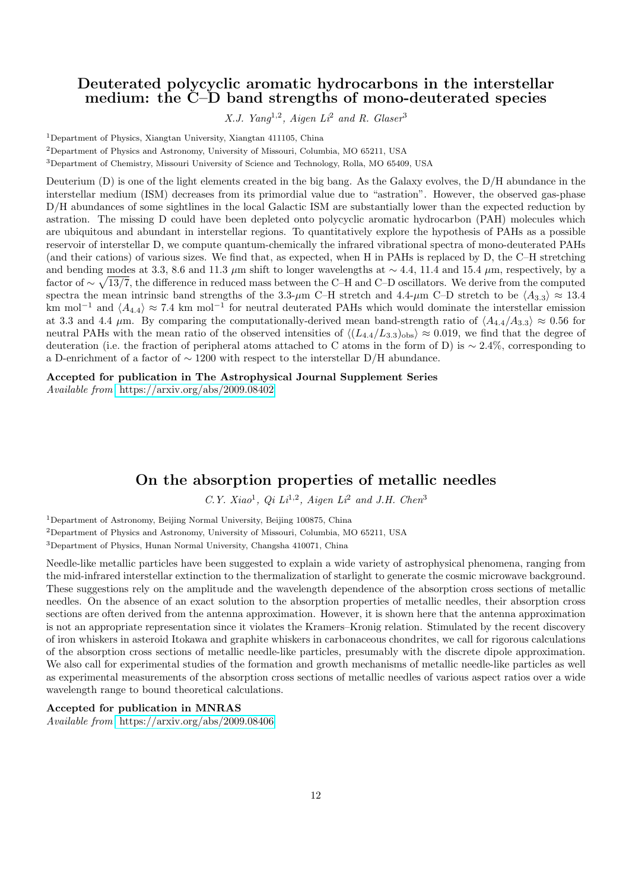#### Deuterated polycyclic aromatic hydrocarbons in the interstellar medium: the C–D band strengths of mono-deuterated species

X.J. Yang<sup>1,2</sup>, Aigen  $Li^2$  and R. Glaser<sup>3</sup>

<sup>1</sup>Department of Physics, Xiangtan University, Xiangtan 411105, China

<sup>2</sup>Department of Physics and Astronomy, University of Missouri, Columbia, MO 65211, USA

<sup>3</sup>Department of Chemistry, Missouri University of Science and Technology, Rolla, MO 65409, USA

Deuterium (D) is one of the light elements created in the big bang. As the Galaxy evolves, the D/H abundance in the interstellar medium (ISM) decreases from its primordial value due to "astration". However, the observed gas-phase D/H abundances of some sightlines in the local Galactic ISM are substantially lower than the expected reduction by astration. The missing D could have been depleted onto polycyclic aromatic hydrocarbon (PAH) molecules which are ubiquitous and abundant in interstellar regions. To quantitatively explore the hypothesis of PAHs as a possible reservoir of interstellar D, we compute quantum-chemically the infrared vibrational spectra of mono-deuterated PAHs (and their cations) of various sizes. We find that, as expected, when H in PAHs is replaced by D, the C–H stretching and bending modes at 3.3, 8.6 and 11.3 µm shift to longer wavelengths at  $\sim$  4.4, 11.4 and 15.4 µm, respectively, by a factor of  $\sim \sqrt{13/7}$ , the difference in reduced mass between the C–H and C–D oscillators. We derive from the computed spectra the mean intrinsic band strengths of the 3.3- $\mu$ m C–H stretch and 4.4- $\mu$ m C–D stretch to be  $\langle A_{3,3} \rangle \approx 13.4$ km mol<sup>-1</sup> and  $\langle A_{4,4} \rangle \approx 7.4$  km mol<sup>-1</sup> for neutral deuterated PAHs which would dominate the interstellar emission at 3.3 and 4.4  $\mu$ m. By comparing the computationally-derived mean band-strength ratio of  $\langle A_{4.4}/A_{3.3}\rangle \approx 0.56$  for neutral PAHs with the mean ratio of the observed intensities of  $\langle (L_{4.4}/L_{3.3})_{\rm obs} \rangle \approx 0.019$ , we find that the degree of deuteration (i.e. the fraction of peripheral atoms attached to C atoms in the form of D) is ∼ 2.4%, corresponding to a D-enrichment of a factor of ∼ 1200 with respect to the interstellar D/H abundance.

Accepted for publication in The Astrophysical Journal Supplement Series Available from <https://arxiv.org/abs/2009.08402>

### On the absorption properties of metallic needles

C.Y. Xiao<sup>1</sup>, Qi Li<sup>1,2</sup>, Aigen Li<sup>2</sup> and J.H. Chen<sup>3</sup>

<sup>1</sup>Department of Astronomy, Beijing Normal University, Beijing 100875, China

<sup>2</sup>Department of Physics and Astronomy, University of Missouri, Columbia, MO 65211, USA

<sup>3</sup>Department of Physics, Hunan Normal University, Changsha 410071, China

Needle-like metallic particles have been suggested to explain a wide variety of astrophysical phenomena, ranging from the mid-infrared interstellar extinction to the thermalization of starlight to generate the cosmic microwave background. These suggestions rely on the amplitude and the wavelength dependence of the absorption cross sections of metallic needles. On the absence of an exact solution to the absorption properties of metallic needles, their absorption cross sections are often derived from the antenna approximation. However, it is shown here that the antenna approximation is not an appropriate representation since it violates the Kramers–Kronig relation. Stimulated by the recent discovery of iron whiskers in asteroid Itokawa and graphite whiskers in carbonaceous chondrites, we call for rigorous calculations of the absorption cross sections of metallic needle-like particles, presumably with the discrete dipole approximation. We also call for experimental studies of the formation and growth mechanisms of metallic needle-like particles as well as experimental measurements of the absorption cross sections of metallic needles of various aspect ratios over a wide wavelength range to bound theoretical calculations.

#### Accepted for publication in MNRAS

Available from <https://arxiv.org/abs/2009.08406>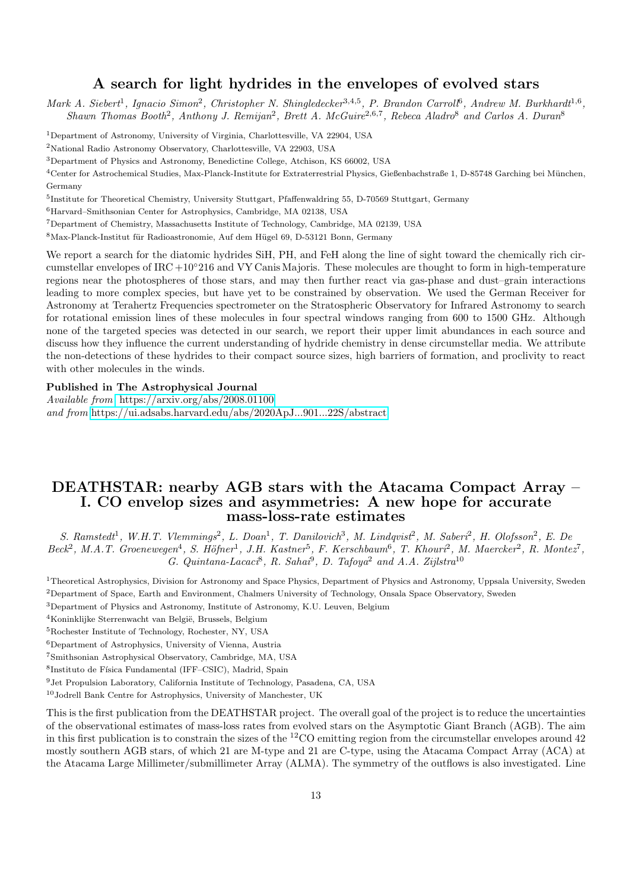#### A search for light hydrides in the envelopes of evolved stars

Mark A. Siebert<sup>1</sup>, Ignacio Simon<sup>2</sup>, Christopher N. Shingledecker<sup>3,4,5</sup>, P. Brandon Carroll<sup>6</sup>, Andrew M. Burkhardt<sup>1,6</sup>, Shawn Thomas Booth<sup>2</sup>, Anthony J. Remijan<sup>2</sup>, Brett A. McGuire<sup>2,6,7</sup>, Rebeca Aladro<sup>8</sup> and Carlos A. Duran<sup>8</sup>

<sup>1</sup>Department of Astronomy, University of Virginia, Charlottesville, VA 22904, USA

<sup>2</sup>National Radio Astronomy Observatory, Charlottesville, VA 22903, USA

<sup>3</sup>Department of Physics and Astronomy, Benedictine College, Atchison, KS 66002, USA

<sup>4</sup>Center for Astrochemical Studies, Max-Planck-Institute for Extraterrestrial Physics, Gießenbachstraße 1, D-85748 Garching bei München, Germany

5 Institute for Theoretical Chemistry, University Stuttgart, Pfaffenwaldring 55, D-70569 Stuttgart, Germany

<sup>6</sup>Harvard–Smithsonian Center for Astrophysics, Cambridge, MA 02138, USA

<sup>7</sup>Department of Chemistry, Massachusetts Institute of Technology, Cambridge, MA 02139, USA

8Max-Planck-Institut für Radioastronomie, Auf dem Hügel 69, D-53121 Bonn, Germany

We report a search for the diatomic hydrides SiH, PH, and FeH along the line of sight toward the chemically rich circumstellar envelopes of IRC +10 $^{\circ}216$  and VY Canis Majoris. These molecules are thought to form in high-temperature regions near the photospheres of those stars, and may then further react via gas-phase and dust–grain interactions leading to more complex species, but have yet to be constrained by observation. We used the German Receiver for Astronomy at Terahertz Frequencies spectrometer on the Stratospheric Observatory for Infrared Astronomy to search for rotational emission lines of these molecules in four spectral windows ranging from 600 to 1500 GHz. Although none of the targeted species was detected in our search, we report their upper limit abundances in each source and discuss how they influence the current understanding of hydride chemistry in dense circumstellar media. We attribute the non-detections of these hydrides to their compact source sizes, high barriers of formation, and proclivity to react with other molecules in the winds.

#### Published in The Astrophysical Journal

Available from <https://arxiv.org/abs/2008.01100> and from <https://ui.adsabs.harvard.edu/abs/2020ApJ...901...22S/abstract>

#### DEATHSTAR: nearby AGB stars with the Atacama Compact Array – I. CO envelop sizes and asymmetries: A new hope for accurate mass-loss-rate estimates

S. Ramstedt<sup>1</sup>, W.H.T. Vlemmings<sup>2</sup>, L. Doan<sup>1</sup>, T. Danilovich<sup>3</sup>, M. Lindqvist<sup>2</sup>, M. Saberi<sup>2</sup>, H. Olofsson<sup>2</sup>, E. De  $Beck^2$ , M.A.T. Groenewegen<sup>4</sup>, S. Höfner<sup>1</sup>, J.H. Kastner<sup>5</sup>, F. Kerschbaum<sup>6</sup>, T. Khouri<sup>2</sup>, M. Maercker<sup>2</sup>, R. Montez<sup>7</sup>, G. Quintana-Lacaci<sup>8</sup>, R. Sahai<sup>9</sup>, D. Tafoya<sup>2</sup> and A.A. Zijlstra<sup>10</sup>

<sup>1</sup>Theoretical Astrophysics, Division for Astronomy and Space Physics, Department of Physics and Astronomy, Uppsala University, Sweden <sup>2</sup>Department of Space, Earth and Environment, Chalmers University of Technology, Onsala Space Observatory, Sweden

<sup>3</sup>Department of Physics and Astronomy, Institute of Astronomy, K.U. Leuven, Belgium

<sup>4</sup>Koninklijke Sterrenwacht van België, Brussels, Belgium

<sup>5</sup>Rochester Institute of Technology, Rochester, NY, USA

<sup>6</sup>Department of Astrophysics, University of Vienna, Austria

<sup>7</sup>Smithsonian Astrophysical Observatory, Cambridge, MA, USA

<sup>8</sup>Instituto de Física Fundamental (IFF-CSIC), Madrid, Spain

<sup>9</sup>Jet Propulsion Laboratory, California Institute of Technology, Pasadena, CA, USA

<sup>10</sup>Jodrell Bank Centre for Astrophysics, University of Manchester, UK

This is the first publication from the DEATHSTAR project. The overall goal of the project is to reduce the uncertainties of the observational estimates of mass-loss rates from evolved stars on the Asymptotic Giant Branch (AGB). The aim in this first publication is to constrain the sizes of the  $^{12}$ CO emitting region from the circumstellar envelopes around 42 mostly southern AGB stars, of which 21 are M-type and 21 are C-type, using the Atacama Compact Array (ACA) at the Atacama Large Millimeter/submillimeter Array (ALMA). The symmetry of the outflows is also investigated. Line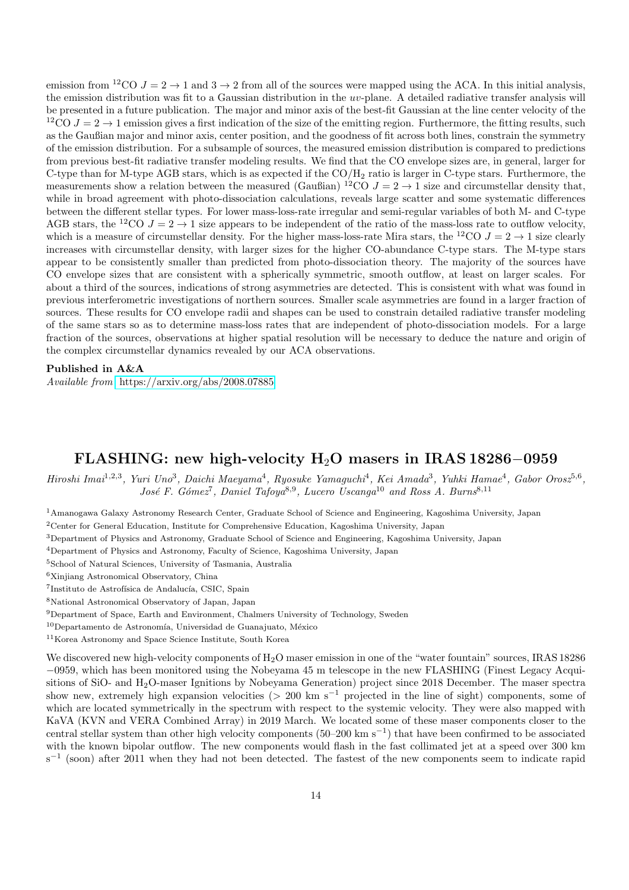emission from <sup>12</sup>CO  $J = 2 \rightarrow 1$  and  $3 \rightarrow 2$  from all of the sources were mapped using the ACA. In this initial analysis, the emission distribution was fit to a Gaussian distribution in the uv-plane. A detailed radiative transfer analysis will be presented in a future publication. The major and minor axis of the best-fit Gaussian at the line center velocity of the  $12\text{CO }J=2\rightarrow 1$  emission gives a first indication of the size of the emitting region. Furthermore, the fitting results, such as the Gaußian major and minor axis, center position, and the goodness of fit across both lines, constrain the symmetry of the emission distribution. For a subsample of sources, the measured emission distribution is compared to predictions from previous best-fit radiative transfer modeling results. We find that the CO envelope sizes are, in general, larger for C-type than for M-type AGB stars, which is as expected if the  $CO/H<sub>2</sub>$  ratio is larger in C-type stars. Furthermore, the measurements show a relation between the measured (Gaußian) <sup>12</sup>CO  $J = 2 \rightarrow 1$  size and circumstellar density that, while in broad agreement with photo-dissociation calculations, reveals large scatter and some systematic differences between the different stellar types. For lower mass-loss-rate irregular and semi-regular variables of both M- and C-type AGB stars, the <sup>12</sup>CO  $J = 2 \rightarrow 1$  size appears to be independent of the ratio of the mass-loss rate to outflow velocity, which is a measure of circumstellar density. For the higher mass-loss-rate Mira stars, the <sup>12</sup>CO  $J = 2 \rightarrow 1$  size clearly increases with circumstellar density, with larger sizes for the higher CO-abundance C-type stars. The M-type stars appear to be consistently smaller than predicted from photo-dissociation theory. The majority of the sources have CO envelope sizes that are consistent with a spherically symmetric, smooth outflow, at least on larger scales. For about a third of the sources, indications of strong asymmetries are detected. This is consistent with what was found in previous interferometric investigations of northern sources. Smaller scale asymmetries are found in a larger fraction of sources. These results for CO envelope radii and shapes can be used to constrain detailed radiative transfer modeling of the same stars so as to determine mass-loss rates that are independent of photo-dissociation models. For a large fraction of the sources, observations at higher spatial resolution will be necessary to deduce the nature and origin of the complex circumstellar dynamics revealed by our ACA observations.

#### Published in A&A

Available from <https://arxiv.org/abs/2008.07885>

### FLASHING: new high-velocity H2O masers in IRAS 18286−0959

Hiroshi Imai<sup>1,2,3</sup>, Yuri Uno<sup>3</sup>, Daichi Maeyama<sup>4</sup>, Ryosuke Yamaguchi<sup>4</sup>, Kei Amada<sup>3</sup>, Yuhki Hamae<sup>4</sup>, Gabor Orosz<sup>5,6</sup>, José F. Gómez<sup>7</sup>, Daniel Tafoya<sup>8,9</sup>, Lucero Uscanga<sup>10</sup> and Ross A. Burns<sup>8,11</sup>

<sup>1</sup>Amanogawa Galaxy Astronomy Research Center, Graduate School of Science and Engineering, Kagoshima University, Japan

<sup>2</sup>Center for General Education, Institute for Comprehensive Education, Kagoshima University, Japan

<sup>3</sup>Department of Physics and Astronomy, Graduate School of Science and Engineering, Kagoshima University, Japan

<sup>4</sup>Department of Physics and Astronomy, Faculty of Science, Kagoshima University, Japan

<sup>5</sup>School of Natural Sciences, University of Tasmania, Australia

<sup>6</sup>Xinjiang Astronomical Observatory, China

<sup>7</sup>Instituto de Astrofísica de Andalucía, CSIC, Spain

<sup>8</sup>National Astronomical Observatory of Japan, Japan

<sup>9</sup>Department of Space, Earth and Environment, Chalmers University of Technology, Sweden

 $10$ Departamento de Astronomía, Universidad de Guanajuato, México

<sup>11</sup>Korea Astronomy and Space Science Institute, South Korea

We discovered new high-velocity components of H<sub>2</sub>O maser emission in one of the "water fountain" sources, IRAS 18286 −0959, which has been monitored using the Nobeyama 45 m telescope in the new FLASHING (Finest Legacy Acquisitions of SiO- and H2O-maser Ignitions by Nobeyama Generation) project since 2018 December. The maser spectra show new, extremely high expansion velocities (> 200 km s<sup>-1</sup> projected in the line of sight) components, some of which are located symmetrically in the spectrum with respect to the systemic velocity. They were also mapped with KaVA (KVN and VERA Combined Array) in 2019 March. We located some of these maser components closer to the central stellar system than other high velocity components (50–200 km s<sup>−</sup><sup>1</sup> ) that have been confirmed to be associated with the known bipolar outflow. The new components would flash in the fast collimated jet at a speed over 300 km s<sup>-1</sup> (soon) after 2011 when they had not been detected. The fastest of the new components seem to indicate rapid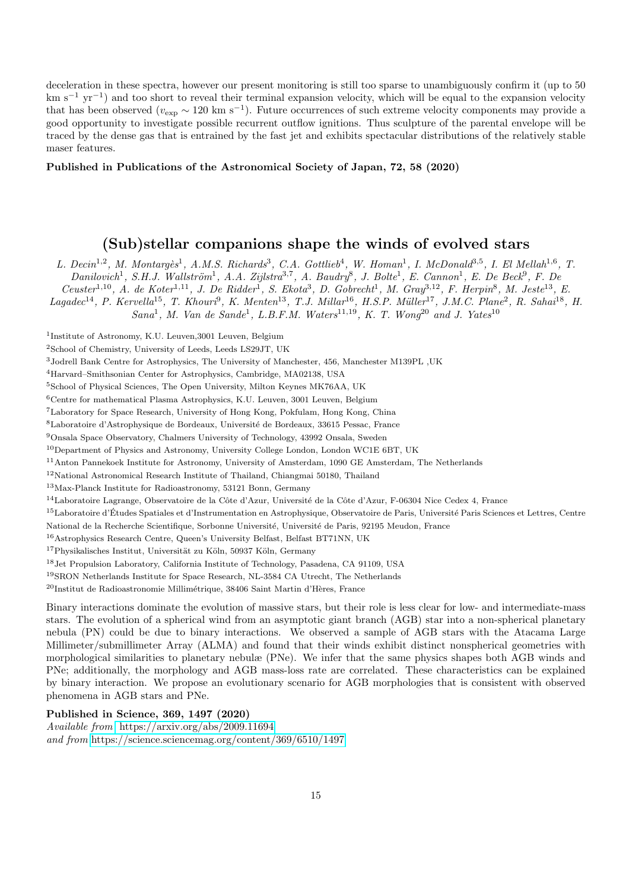deceleration in these spectra, however our present monitoring is still too sparse to unambiguously confirm it (up to 50 km s−<sup>1</sup> yr−<sup>1</sup> ) and too short to reveal their terminal expansion velocity, which will be equal to the expansion velocity that has been observed ( $v_{\rm exp} \sim 120 \text{ km s}^{-1}$ ). Future occurrences of such extreme velocity components may provide a good opportunity to investigate possible recurrent outflow ignitions. Thus sculpture of the parental envelope will be traced by the dense gas that is entrained by the fast jet and exhibits spectacular distributions of the relatively stable maser features.

#### Published in Publications of the Astronomical Society of Japan, 72, 58 (2020)

### (Sub)stellar companions shape the winds of evolved stars

L. Decin<sup>1,2</sup>, M. Montargès<sup>1</sup>, A.M.S. Richards<sup>3</sup>, C.A. Gottlieb<sup>4</sup>, W. Homan<sup>1</sup>, I. McDonald<sup>3,5</sup>, I. El Mellah<sup>1,6</sup>, T.  $Danilovich<sup>1</sup>$ , S.H.J. Wallström<sup>1</sup>, A.A. Zijlstra<sup>3,7</sup>, A. Baudry<sup>8</sup>, J. Bolte<sup>1</sup>, E. Cannon<sup>1</sup>, E. De Beck<sup>9</sup>, F. De

 $Ceuster^{1,10}$ , A. de Koter<sup>1,11</sup>, J. De Ridder<sup>1</sup>, S. Ekota<sup>3</sup>, D. Gobrecht<sup>1</sup>, M. Gray<sup>3,12</sup>, F. Herpin<sup>8</sup>, M. Jeste<sup>13</sup>, E.

 $Lagadec^{14}, P.~Kervella^{15}, T.~Khour<sup>9</sup>, K.~Menter^{13}, T.J.~Millar<sup>16</sup>, H.S.P.~Miller<sup>17</sup>, J.M.C.~Plane<sup>2</sup>, R. Saha<sup>18</sup>, H.$ 

 $Sana<sup>1</sup>$ , M. Van de Sande<sup>1</sup>, L.B.F.M. Waters<sup>11,19</sup>, K. T. Wong<sup>20</sup> and J. Yates<sup>10</sup>

<sup>1</sup>Institute of Astronomy, K.U. Leuven, 3001 Leuven, Belgium

<sup>2</sup>School of Chemistry, University of Leeds, Leeds LS29JT, UK

<sup>3</sup>Jodrell Bank Centre for Astrophysics, The University of Manchester, 456, Manchester M139PL ,UK

<sup>4</sup>Harvard–Smithsonian Center for Astrophysics, Cambridge, MA02138, USA

<sup>5</sup>School of Physical Sciences, The Open University, Milton Keynes MK76AA, UK

<sup>6</sup>Centre for mathematical Plasma Astrophysics, K.U. Leuven, 3001 Leuven, Belgium

<sup>7</sup>Laboratory for Space Research, University of Hong Kong, Pokfulam, Hong Kong, China

<sup>8</sup>Laboratoire d'Astrophysique de Bordeaux, Université de Bordeaux, 33615 Pessac, France

<sup>9</sup>Onsala Space Observatory, Chalmers University of Technology, 43992 Onsala, Sweden

<sup>10</sup>Department of Physics and Astronomy, University College London, London WC1E 6BT, UK

<sup>11</sup>Anton Pannekoek Institute for Astronomy, University of Amsterdam, 1090 GE Amsterdam, The Netherlands

<sup>12</sup>National Astronomical Research Institute of Thailand, Chiangmai 50180, Thailand

<sup>13</sup>Max-Planck Institute for Radioastronomy, 53121 Bonn, Germany

 $14$ Laboratoire Lagrange, Observatoire de la Côte d'Azur, Université de la Côte d'Azur, F-06304 Nice Cedex 4, France

<sup>15</sup>Laboratoire d'Études Spatiales et d'Instrumentation en Astrophysique, Observatoire de Paris, Université Paris Sciences et Lettres, Centre

National de la Recherche Scientifique, Sorbonne Université, Université de Paris, 92195 Meudon, France

<sup>16</sup>Astrophysics Research Centre, Queen's University Belfast, Belfast BT71NN, UK

 $^{17}{\rm Physikalisches Institute},$ Universität zu Köln, 50937 Köln, Germany

<sup>18</sup>Jet Propulsion Laboratory, California Institute of Technology, Pasadena, CA 91109, USA

<sup>19</sup>SRON Netherlands Institute for Space Research, NL-3584 CA Utrecht, The Netherlands

 $^{20}$ Institut de Radioastronomie Millimétrique, 38406 Saint Martin d'Hères, France

Binary interactions dominate the evolution of massive stars, but their role is less clear for low- and intermediate-mass stars. The evolution of a spherical wind from an asymptotic giant branch (AGB) star into a non-spherical planetary nebula (PN) could be due to binary interactions. We observed a sample of AGB stars with the Atacama Large Millimeter/submillimeter Array (ALMA) and found that their winds exhibit distinct nonspherical geometries with morphological similarities to planetary nebulæ (PNe). We infer that the same physics shapes both AGB winds and PNe; additionally, the morphology and AGB mass-loss rate are correlated. These characteristics can be explained by binary interaction. We propose an evolutionary scenario for AGB morphologies that is consistent with observed phenomena in AGB stars and PNe.

#### Published in Science, 369, 1497 (2020)

Available from <https://arxiv.org/abs/2009.11694> and from <https://science.sciencemag.org/content/369/6510/1497>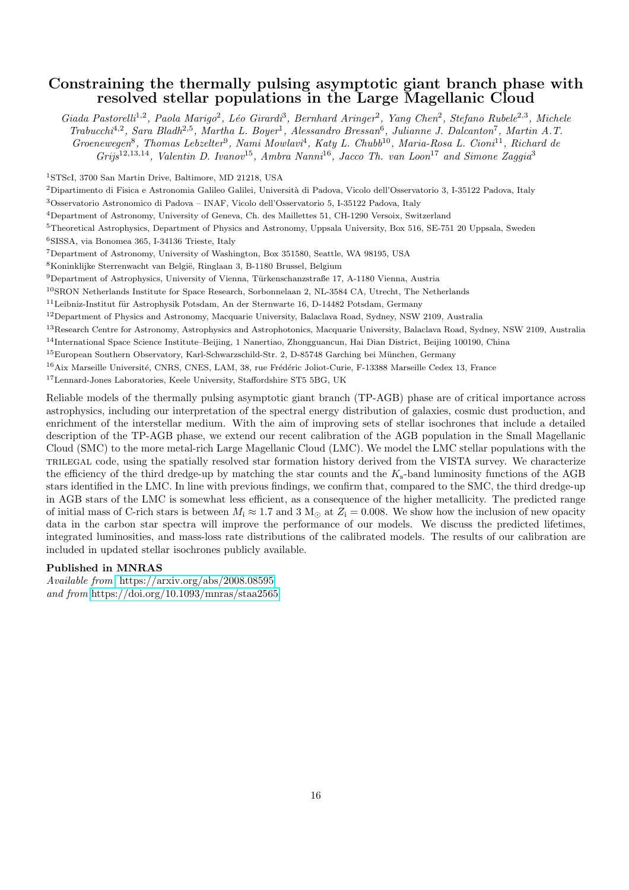### Constraining the thermally pulsing asymptotic giant branch phase with resolved stellar populations in the Large Magellanic Cloud

Giada Pastorelli<sup>1,2</sup>, Paola Marigo<sup>2</sup>, Léo Girardi<sup>3</sup>, Bernhard Aringer<sup>2</sup>, Yang Chen<sup>2</sup>, Stefano Rubele<sup>2,3</sup>, Michele Trabucchi<sup>4,2</sup>, Sara Bladh<sup>2,5</sup>, Martha L. Boyer<sup>1</sup>, Alessandro Bressan<sup>6</sup>, Julianne J. Dalcanton<sup>7</sup>, Martin A.T. Groenewegen<sup>8</sup>, Thomas Lebzelter<sup>9</sup>, Nami Mowlavi<sup>4</sup>, Katy L. Chubb<sup>10</sup>, Maria-Rosa L. Cioni<sup>11</sup>, Richard de  $Gris^{12,13,14}$ , Valentin D. Ivanov<sup>15</sup>, Ambra Nanni<sup>16</sup>, Jacco Th. van Loon<sup>17</sup> and Simone Zaggia<sup>3</sup>

<sup>1</sup>STScI, 3700 San Martin Drive, Baltimore, MD 21218, USA

<sup>2</sup>Dipartimento di Fisica e Astronomia Galileo Galilei, Università di Padova, Vicolo dell'Osservatorio 3, I-35122 Padova, Italy

<sup>3</sup>Osservatorio Astronomico di Padova – INAF, Vicolo dell'Osservatorio 5, I-35122 Padova, Italy

<sup>4</sup>Department of Astronomy, University of Geneva, Ch. des Maillettes 51, CH-1290 Versoix, Switzerland

<sup>5</sup>Theoretical Astrophysics, Department of Physics and Astronomy, Uppsala University, Box 516, SE-751 20 Uppsala, Sweden

<sup>6</sup>SISSA, via Bonomea 365, I-34136 Trieste, Italy

<sup>7</sup>Department of Astronomy, University of Washington, Box 351580, Seattle, WA 98195, USA

 ${}^{8}$ Koninklijke Sterrenwacht van België, Ringlaan 3, B-1180 Brussel, Belgium

9Department of Astrophysics, University of Vienna, Türkenschanzstraße 17, A-1180 Vienna, Austria

<sup>10</sup>SRON Netherlands Institute for Space Research, Sorbonnelaan 2, NL-3584 CA, Utrecht, The Netherlands

<sup>11</sup>Leibniz-Institut für Astrophysik Potsdam, An der Sternwarte 16, D-14482 Potsdam, Germany

<sup>12</sup>Department of Physics and Astronomy, Macquarie University, Balaclava Road, Sydney, NSW 2109, Australia

<sup>13</sup>Research Centre for Astronomy, Astrophysics and Astrophotonics, Macquarie University, Balaclava Road, Sydney, NSW 2109, Australia

<sup>14</sup>International Space Science Institute–Beijing, 1 Nanertiao, Zhongguancun, Hai Dian District, Beijing 100190, China

<sup>15</sup>European Southern Observatory, Karl-Schwarzschild-Str. 2, D-85748 Garching bei München, Germany

<sup>16</sup>Aix Marseille Université, CNRS, CNES, LAM, 38, rue Frédéric Joliot-Curie, F-13388 Marseille Cedex 13, France

<sup>17</sup>Lennard-Jones Laboratories, Keele University, Staffordshire ST5 5BG, UK

Reliable models of the thermally pulsing asymptotic giant branch (TP-AGB) phase are of critical importance across astrophysics, including our interpretation of the spectral energy distribution of galaxies, cosmic dust production, and enrichment of the interstellar medium. With the aim of improving sets of stellar isochrones that include a detailed description of the TP-AGB phase, we extend our recent calibration of the AGB population in the Small Magellanic Cloud (SMC) to the more metal-rich Large Magellanic Cloud (LMC). We model the LMC stellar populations with the trilegal code, using the spatially resolved star formation history derived from the VISTA survey. We characterize the efficiency of the third dredge-up by matching the star counts and the  $K_s$ -band luminosity functions of the AGB stars identified in the LMC. In line with previous findings, we confirm that, compared to the SMC, the third dredge-up in AGB stars of the LMC is somewhat less efficient, as a consequence of the higher metallicity. The predicted range of initial mass of C-rich stars is between  $M_i \approx 1.7$  and 3  $M_{\odot}$  at  $Z_i = 0.008$ . We show how the inclusion of new opacity data in the carbon star spectra will improve the performance of our models. We discuss the predicted lifetimes, integrated luminosities, and mass-loss rate distributions of the calibrated models. The results of our calibration are included in updated stellar isochrones publicly available.

#### Published in MNRAS

Available from <https://arxiv.org/abs/2008.08595> and from <https://doi.org/10.1093/mnras/staa2565>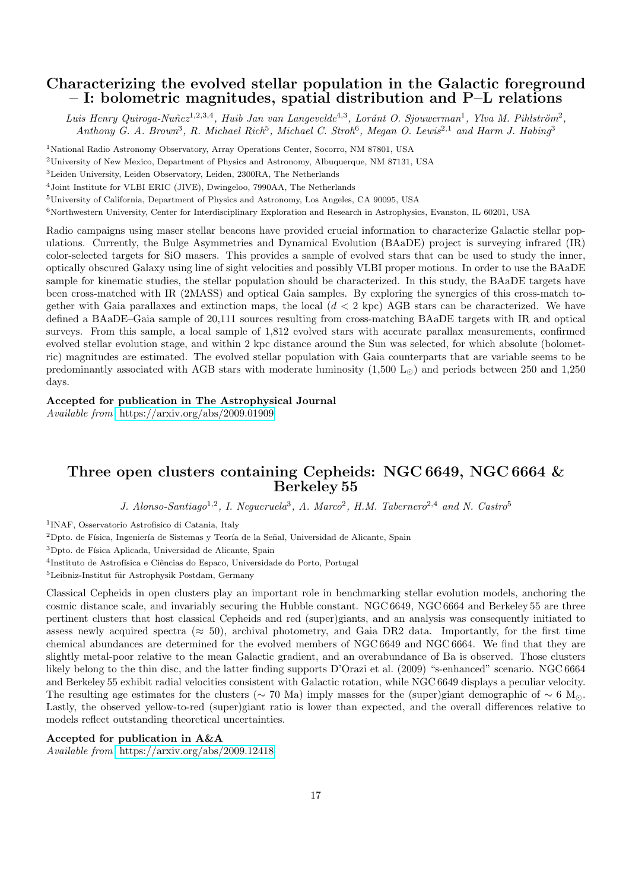### Characterizing the evolved stellar population in the Galactic foreground – I: bolometric magnitudes, spatial distribution and P–L relations

Luis Henry Quiroga-Nuñe $z^{1,2,3,4}$ , Huib Jan van Langevelde<sup>4,3</sup>, Loránt O. Sjouwerman<sup>1</sup>, Ylva M. Pihlström<sup>2</sup>, Anthony G. A. Brown<sup>3</sup>, R. Michael Rich<sup>5</sup>, Michael C. Stroh<sup>6</sup>, Megan O. Lewis<sup>2,1</sup> and Harm J. Habing<sup>3</sup>

<sup>1</sup>National Radio Astronomy Observatory, Array Operations Center, Socorro, NM 87801, USA

<sup>2</sup>University of New Mexico, Department of Physics and Astronomy, Albuquerque, NM 87131, USA

<sup>3</sup>Leiden University, Leiden Observatory, Leiden, 2300RA, The Netherlands

<sup>4</sup>Joint Institute for VLBI ERIC (JIVE), Dwingeloo, 7990AA, The Netherlands

<sup>5</sup>University of California, Department of Physics and Astronomy, Los Angeles, CA 90095, USA

<sup>6</sup>Northwestern University, Center for Interdisciplinary Exploration and Research in Astrophysics, Evanston, IL 60201, USA

Radio campaigns using maser stellar beacons have provided crucial information to characterize Galactic stellar populations. Currently, the Bulge Asymmetries and Dynamical Evolution (BAaDE) project is surveying infrared (IR) color-selected targets for SiO masers. This provides a sample of evolved stars that can be used to study the inner, optically obscured Galaxy using line of sight velocities and possibly VLBI proper motions. In order to use the BAaDE sample for kinematic studies, the stellar population should be characterized. In this study, the BAaDE targets have been cross-matched with IR (2MASS) and optical Gaia samples. By exploring the synergies of this cross-match together with Gaia parallaxes and extinction maps, the local  $(d < 2 \text{ kpc})$  AGB stars can be characterized. We have defined a BAaDE–Gaia sample of 20,111 sources resulting from cross-matching BAaDE targets with IR and optical surveys. From this sample, a local sample of 1,812 evolved stars with accurate parallax measurements, confirmed evolved stellar evolution stage, and within 2 kpc distance around the Sun was selected, for which absolute (bolometric) magnitudes are estimated. The evolved stellar population with Gaia counterparts that are variable seems to be predominantly associated with AGB stars with moderate luminosity  $(1,500 \text{ L}_{\odot})$  and periods between 250 and 1,250 days.

Accepted for publication in The Astrophysical Journal

Available from <https://arxiv.org/abs/2009.01909>

### Three open clusters containing Cepheids: NGC 6649, NGC 6664 & Berkeley 55

J. Alonso-Santiago<sup>1,2</sup>, I. Negueruela<sup>3</sup>, A. Marco<sup>2</sup>, H.M. Tabernero<sup>2,4</sup> and N. Castro<sup>5</sup>

1 INAF, Osservatorio Astrofisico di Catania, Italy

 $2$ Dpto. de Física, Ingeniería de Sistemas y Teoría de la Señal, Universidad de Alicante, Spain

<sup>3</sup>Dpto. de Física Aplicada, Universidad de Alicante, Spain

<sup>4</sup>Instituto de Astrofísica e Ciências do Espaco, Universidade do Porto, Portugal

 $5$ Leibniz-Institut für Astrophysik Postdam, Germany

Classical Cepheids in open clusters play an important role in benchmarking stellar evolution models, anchoring the cosmic distance scale, and invariably securing the Hubble constant. NGC 6649, NGC 6664 and Berkeley 55 are three pertinent clusters that host classical Cepheids and red (super)giants, and an analysis was consequently initiated to assess newly acquired spectra ( $\approx$  50), archival photometry, and Gaia DR2 data. Importantly, for the first time chemical abundances are determined for the evolved members of NGC 6649 and NGC 6664. We find that they are slightly metal-poor relative to the mean Galactic gradient, and an overabundance of Ba is observed. Those clusters likely belong to the thin disc, and the latter finding supports D'Orazi et al. (2009) "s-enhanced" scenario. NGC 6664 and Berkeley 55 exhibit radial velocities consistent with Galactic rotation, while NGC 6649 displays a peculiar velocity. The resulting age estimates for the clusters (∼ 70 Ma) imply masses for the (super)giant demographic of  $\sim 6$  M<sub>☉</sub>. Lastly, the observed yellow-to-red (super)giant ratio is lower than expected, and the overall differences relative to models reflect outstanding theoretical uncertainties.

#### Accepted for publication in A&A

Available from <https://arxiv.org/abs/2009.12418>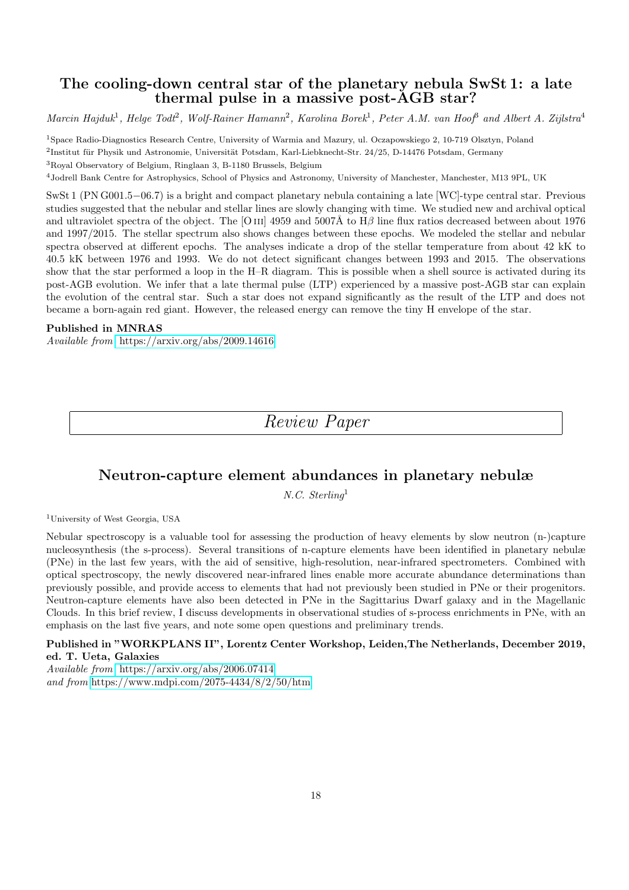### The cooling-down central star of the planetary nebula SwSt 1: a late thermal pulse in a massive post-AGB star?

Marcin Hajduk<sup>1</sup>, Helge Todt<sup>2</sup>, Wolf-Rainer Hamann<sup>2</sup>, Karolina Borek<sup>1</sup>, Peter A.M. van Hoof<sup>8</sup> and Albert A. Zijlstra<sup>4</sup>

<sup>1</sup>Space Radio-Diagnostics Research Centre, University of Warmia and Mazury, ul. Oczapowskiego 2, 10-719 Olsztyn, Poland <sup>2</sup>Institut für Physik und Astronomie, Universität Potsdam, Karl-Liebknecht-Str. 24/25, D-14476 Potsdam, Germany <sup>3</sup>Royal Observatory of Belgium, Ringlaan 3, B-1180 Brussels, Belgium

<sup>4</sup>Jodrell Bank Centre for Astrophysics, School of Physics and Astronomy, University of Manchester, Manchester, M13 9PL, UK

SwSt 1 (PN G001.5−06.7) is a bright and compact planetary nebula containing a late [WC]-type central star. Previous studies suggested that the nebular and stellar lines are slowly changing with time. We studied new and archival optical and ultraviolet spectra of the object. The [O III] 4959 and 5007Å to  $H\beta$  line flux ratios decreased between about 1976 and 1997/2015. The stellar spectrum also shows changes between these epochs. We modeled the stellar and nebular spectra observed at different epochs. The analyses indicate a drop of the stellar temperature from about 42 kK to 40.5 kK between 1976 and 1993. We do not detect significant changes between 1993 and 2015. The observations show that the star performed a loop in the H–R diagram. This is possible when a shell source is activated during its post-AGB evolution. We infer that a late thermal pulse (LTP) experienced by a massive post-AGB star can explain the evolution of the central star. Such a star does not expand significantly as the result of the LTP and does not became a born-again red giant. However, the released energy can remove the tiny H envelope of the star.

#### Published in MNRAS

Available from <https://arxiv.org/abs/2009.14616>

Review Paper

### Neutron-capture element abundances in planetary nebulæ

N.C. Sterling<sup>1</sup>

<sup>1</sup>University of West Georgia, USA

Nebular spectroscopy is a valuable tool for assessing the production of heavy elements by slow neutron (n-)capture nucleosynthesis (the s-process). Several transitions of n-capture elements have been identified in planetary nebulæ (PNe) in the last few years, with the aid of sensitive, high-resolution, near-infrared spectrometers. Combined with optical spectroscopy, the newly discovered near-infrared lines enable more accurate abundance determinations than previously possible, and provide access to elements that had not previously been studied in PNe or their progenitors. Neutron-capture elements have also been detected in PNe in the Sagittarius Dwarf galaxy and in the Magellanic Clouds. In this brief review, I discuss developments in observational studies of s-process enrichments in PNe, with an emphasis on the last five years, and note some open questions and preliminary trends.

#### Published in "WORKPLANS II", Lorentz Center Workshop, Leiden,The Netherlands, December 2019, ed. T. Ueta, Galaxies

Available from <https://arxiv.org/abs/2006.07414> and from <https://www.mdpi.com/2075-4434/8/2/50/htm>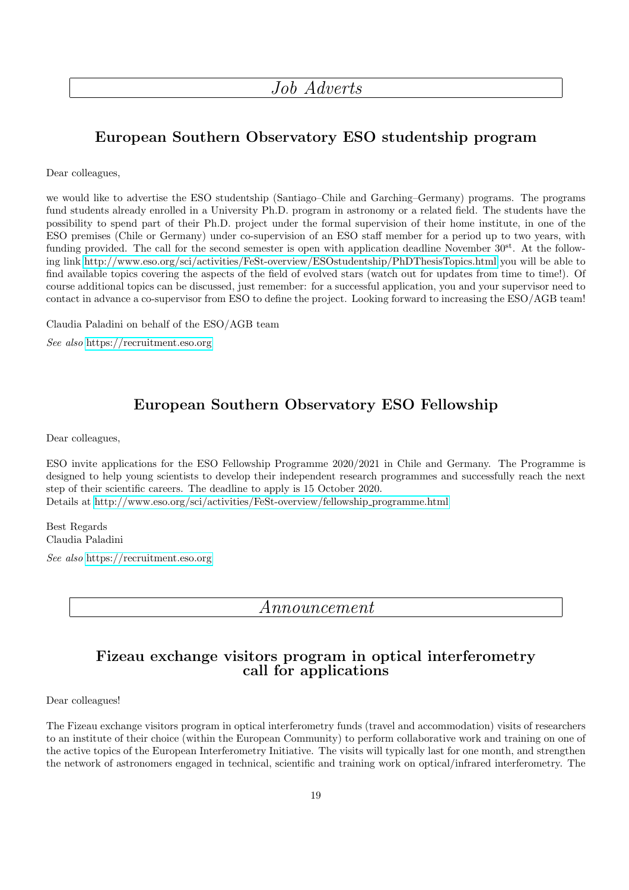Job Adverts

## European Southern Observatory ESO studentship program

Dear colleagues,

we would like to advertise the ESO studentship (Santiago–Chile and Garching–Germany) programs. The programs fund students already enrolled in a University Ph.D. program in astronomy or a related field. The students have the possibility to spend part of their Ph.D. project under the formal supervision of their home institute, in one of the ESO premises (Chile or Germany) under co-supervision of an ESO staff member for a period up to two years, with funding provided. The call for the second semester is open with application deadline November  $30^{st}$ . At the following link<http://www.eso.org/sci/activities/FeSt-overview/ESOstudentship/PhDThesisTopics.html> you will be able to find available topics covering the aspects of the field of evolved stars (watch out for updates from time to time!). Of course additional topics can be discussed, just remember: for a successful application, you and your supervisor need to contact in advance a co-supervisor from ESO to define the project. Looking forward to increasing the ESO/AGB team!

Claudia Paladini on behalf of the ESO/AGB team

See also <https://recruitment.eso.org>

### European Southern Observatory ESO Fellowship

Dear colleagues,

ESO invite applications for the ESO Fellowship Programme 2020/2021 in Chile and Germany. The Programme is designed to help young scientists to develop their independent research programmes and successfully reach the next step of their scientific careers. The deadline to apply is 15 October 2020. Details at [http://www.eso.org/sci/activities/FeSt-overview/fellowship](http://www.eso.org/sci/activities/FeSt-overview/fellowship_programme.html) programme.html

Best Regards Claudia Paladini

See also <https://recruitment.eso.org>

Announcement

### Fizeau exchange visitors program in optical interferometry call for applications

Dear colleagues!

The Fizeau exchange visitors program in optical interferometry funds (travel and accommodation) visits of researchers to an institute of their choice (within the European Community) to perform collaborative work and training on one of the active topics of the European Interferometry Initiative. The visits will typically last for one month, and strengthen the network of astronomers engaged in technical, scientific and training work on optical/infrared interferometry. The